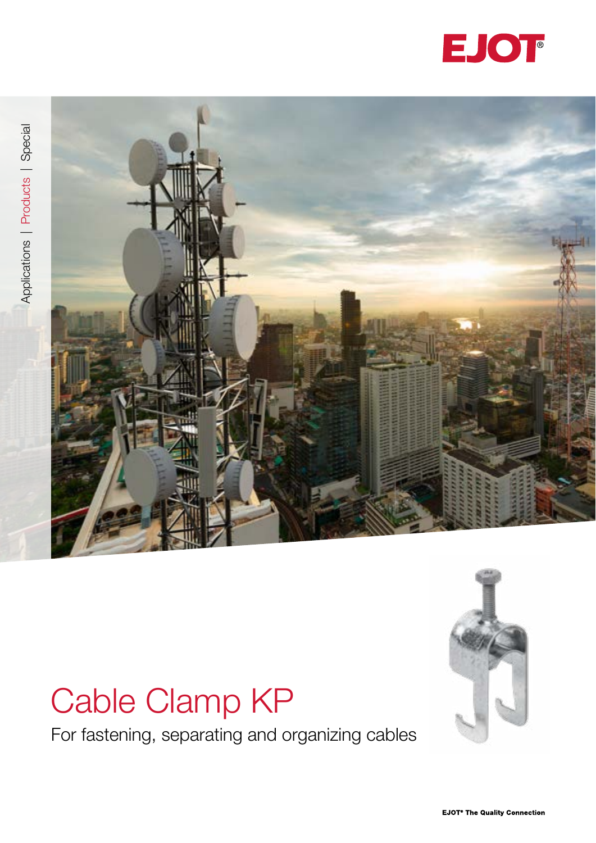





# Cable Clamp KP

For fastening, separating and organizing cables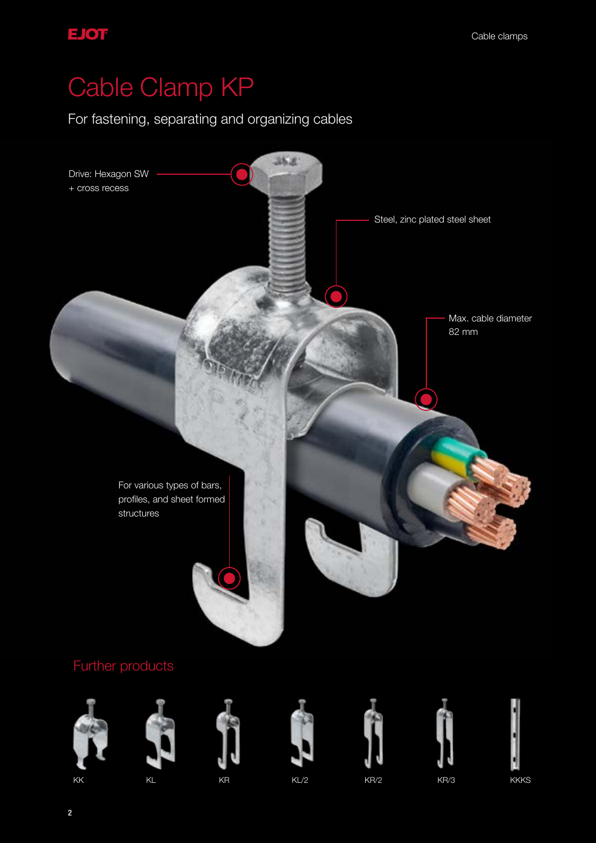## Cable Clamp KP

For fastening, separating and organizing cables

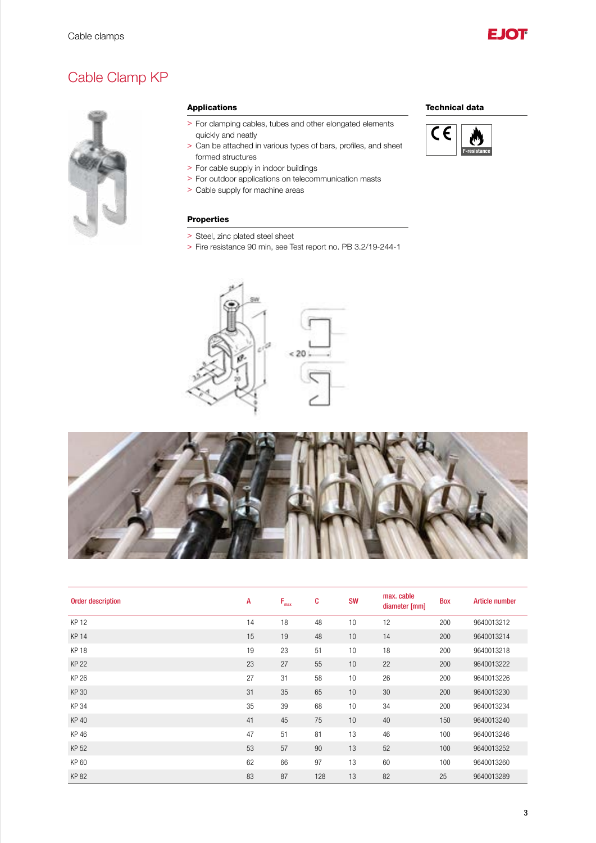

### Cable Clamp KP



#### Applications

- > For clamping cables, tubes and other elongated elements quickly and neatly
- > Can be attached in various types of bars, profiles, and sheet formed structures
- > For cable supply in indoor buildings
- > For outdoor applications on telecommunication masts
- > Cable supply for machine areas

#### Properties

- > Steel, zinc plated steel sheet
- > Fire resistance 90 min, see Test report no. PB 3.2/19-244-1





| <b>Order description</b> | A  | $F_{\text{max}}$ | C   | <b>SW</b> | max. cable<br>diameter [mm] | <b>Box</b> | <b>Article number</b> |
|--------------------------|----|------------------|-----|-----------|-----------------------------|------------|-----------------------|
| <b>KP 12</b>             | 14 | 18               | 48  | 10        | 12                          | 200        | 9640013212            |
| <b>KP 14</b>             | 15 | 19               | 48  | 10        | 14                          | 200        | 9640013214            |
| <b>KP18</b>              | 19 | 23               | 51  | 10        | 18                          | 200        | 9640013218            |
| <b>KP 22</b>             | 23 | 27               | 55  | 10        | 22                          | 200        | 9640013222            |
| <b>KP 26</b>             | 27 | 31               | 58  | 10        | 26                          | 200        | 9640013226            |
| KP 30                    | 31 | 35               | 65  | 10        | 30                          | 200        | 9640013230            |
| <b>KP34</b>              | 35 | 39               | 68  | 10        | 34                          | 200        | 9640013234            |
| <b>KP40</b>              | 41 | 45               | 75  | 10        | 40                          | 150        | 9640013240            |
| KP 46                    | 47 | 51               | 81  | 13        | 46                          | 100        | 9640013246            |
| KP 52                    | 53 | 57               | 90  | 13        | 52                          | 100        | 9640013252            |
| KP 60                    | 62 | 66               | 97  | 13        | 60                          | 100        | 9640013260            |
| <b>KP82</b>              | 83 | 87               | 128 | 13        | 82                          | 25         | 9640013289            |

#### Technical data



3